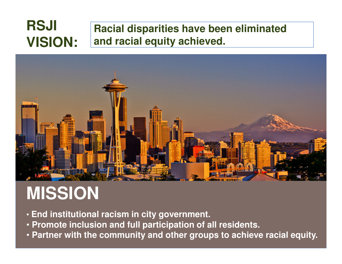#### **Racial disparities have been eliminated and racial equity achieved.RSJI VISION:**



### **MISSION**

- **End institutional racism in city government.**
- **Promote inclusion and full participation of all residents.**
- **Partner with the community and other groups to achieve racial equity.**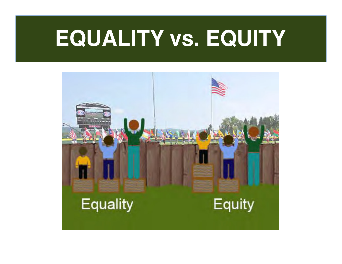### **EQUALITY vs. EQUITY**

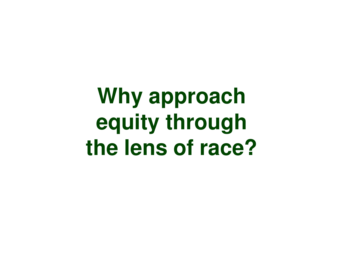**Why approach equity through the lens of race?**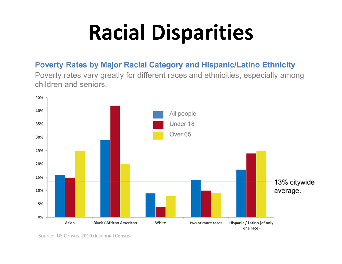# Racial Disparities

#### Poverty Rates by Major Racial Category and Hispanic/Latino Ethnicity

Poverty rates vary greatly for different races and ethnicities, especially among children and seniors.



Source: US Census, 2010 decennial Census.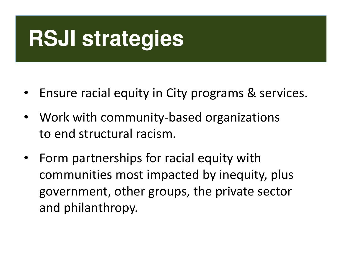## **RSJI strategies**

- •Ensure racial equity in City programs & services.
- $\bullet$  Work with community-based organizations to end structural racism.
- $\bullet$  Form partnerships for racial equity with communities most impacted by inequity, plus government, other groups, the private sector and philanthropy.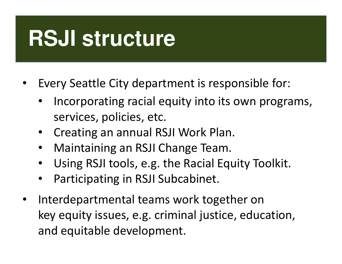### **RSJI structure**

- • Every Seattle City department is responsible for:
	- • Incorporating racial equity into its own programs, services, policies, etc.
	- Creating an annual RSJI Work Plan.
	- •Maintaining an RSJI Change Team.
	- •Using RSJI tools, e.g. the Racial Equity Toolkit.
	- •Participating in RSJI Subcabinet.
- • Interdepartmental teams work together on key equity issues, e.g. criminal justice, education, and equitable development.